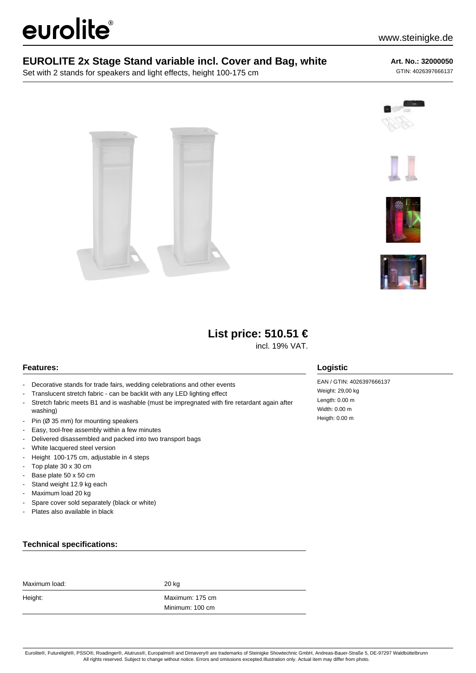# eurolite®

### **EUROLITE 2x Stage Stand variable incl. Cover and Bag, white**

Set with 2 stands for speakers and light effects, height 100-175 cm

#### **Art. No.: 32000050**

GTIN: 4026397666137











# **List price: 510.51 €**

incl. 19% VAT.

#### **Features:**

- Decorative stands for trade fairs, wedding celebrations and other events
- Translucent stretch fabric can be backlit with any LED lighting effect
- Stretch fabric meets B1 and is washable (must be impregnated with fire retardant again after washing)
- Pin (Ø 35 mm) for mounting speakers
- Easy, tool-free assembly within a few minutes
- Delivered disassembled and packed into two transport bags
- White lacquered steel version
- Height 100-175 cm, adjustable in 4 steps
- Top plate 30 x 30 cm
- Base plate 50 x 50 cm
- Stand weight 12.9 kg each
- Maximum load 20 kg
- Spare cover sold separately (black or white)
- Plates also available in black

## EAN / GTIN: 4026397666137

**Logistic**

Weight: 29,00 kg Length: 0.00 m Width: 0.00 m Heigth: 0.00 m

#### **Technical specifications:**

| Maximum load: | 20 kg           |
|---------------|-----------------|
| Height:       | Maximum: 175 cm |
|               | Minimum: 100 cm |

Eurolite®, Futurelight®, PSSO®, Roadinger®, Alutruss®, Europalms® and Dimavery® are trademarks of Steinigke Showtechnic GmbH, Andreas-Bauer-Straße 5, DE-97297 Waldbüttelbrunn All rights reserved. Subject to change without notice. Errors and omissions excepted.Illustration only. Actual item may differ from photo.